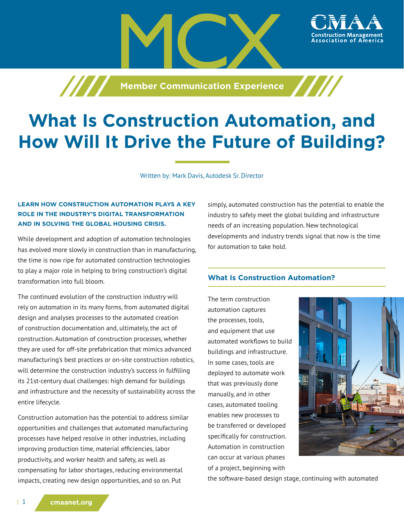**Member Communication Experience** 



# **What Is Construction Automation, and How Will It Drive the Future of Building?**

Written by: Mark Davis, Autodesk Sr. Director

# **LEARN HOW CONSTRUCTION AUTOMATION PLAYS A KEY ROLE IN THE INDUSTRY'S DIGITAL TRANSFORMATION AND IN SOLVING THE GLOBAL HOUSING CRISIS.**

While development and adoption of automation technologies has evolved more slowly in construction than in manufacturing, the time is now ripe for automated construction technologies to play a major role in helping to bring construction's digital transformation into full bloom.

The continued evolution of the construction industry will rely on automation in its many forms, from automated digital design and analyses processes to the automated creation of construction documentation and, ultimately, the act of construction. Automation of construction processes, whether they are used for off-site prefabrication that mimics advanced manufacturing's best practices or on-site construction robotics, will determine the construction industry's success in fulfilling its 21st-century dual challenges: high demand for buildings and infrastructure and the necessity of sustainability across the entire lifecycle.

Construction automation has the potential to address similar opportunities and challenges that automated manufacturing processes have helped resolve in other industries, including improving production time, material efficiencies, labor productivity, and worker health and safety, as well as compensating for labor shortages, reducing environmental impacts, creating new design opportunities, and so on. Put

simply, automated construction has the potential to enable the industry to safely meet the global building and infrastructure needs of an increasing population. New technological developments and industry trends signal that now is the time for automation to take hold.

# **What Is Construction Automation?**

The term construction automation captures the processes, tools, and equipment that use automated workflows to build buildings and infrastructure. In some cases, tools are deployed to automate work that was previously done manually, and in other cases, automated tooling enables new processes to be transferred or developed specifically for construction. Automation in construction can occur at various phases of a project, beginning with



the software-based design stage, continuing with automated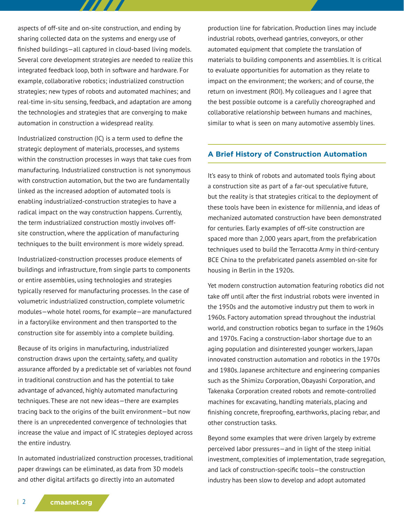aspects of off-site and on-site construction, and ending by sharing collected data on the systems and energy use of finished buildings—all captured in cloud-based living models. Several core development strategies are needed to realize this integrated feedback loop, both in software and hardware. For example, collaborative robotics; industrialized construction strategies; new types of robots and automated machines; and real-time in-situ sensing, feedback, and adaptation are among the technologies and strategies that are converging to make automation in construction a widespread reality.

7777

Industrialized construction (IC) is a term used to define the strategic deployment of materials, processes, and systems within the construction processes in ways that take cues from manufacturing. Industrialized construction is not synonymous with construction automation, but the two are fundamentally linked as the increased adoption of automated tools is enabling industrialized-construction strategies to have a radical impact on the way construction happens. Currently, the term industrialized construction mostly involves offsite construction, where the application of manufacturing techniques to the built environment is more widely spread.

Industrialized-construction processes produce elements of buildings and infrastructure, from single parts to components or entire assemblies, using technologies and strategies typically reserved for manufacturing processes. In the case of volumetric industrialized construction, complete volumetric modules—whole hotel rooms, for example—are manufactured in a factorylike environment and then transported to the construction site for assembly into a complete building.

Because of its origins in manufacturing, industrialized construction draws upon the certainty, safety, and quality assurance afforded by a predictable set of variables not found in traditional construction and has the potential to take advantage of advanced, highly automated manufacturing techniques. These are not new ideas—there are examples tracing back to the origins of the built environment—but now there is an unprecedented convergence of technologies that increase the value and impact of IC strategies deployed across the entire industry.

In automated industrialized construction processes, traditional paper drawings can be eliminated, as data from 3D models and other digital artifacts go directly into an automated

production line for fabrication. Production lines may include industrial robots, overhead gantries, conveyors, or other automated equipment that complete the translation of materials to building components and assemblies. It is critical to evaluate opportunities for automation as they relate to impact on the environment; the workers; and of course, the return on investment (ROI). My colleagues and I agree that the best possible outcome is a carefully choreographed and collaborative relationship between humans and machines, similar to what is seen on many automotive assembly lines.

## **A Brief History of Construction Automation**

It's easy to think of robots and automated tools flying about a construction site as part of a far-out speculative future, but the reality is that strategies critical to the deployment of these tools have been in existence for millennia, and ideas of mechanized automated construction have been demonstrated for centuries. Early examples of off-site construction are spaced more than 2,000 years apart, from the prefabrication techniques used to build the Terracotta Army in third-century BCE China to the prefabricated panels assembled on-site for housing in Berlin in the 1920s.

Yet modern construction automation featuring robotics did not take off until after the first industrial robots were invented in the 1950s and the automotive industry put them to work in 1960s. Factory automation spread throughout the industrial world, and construction robotics began to surface in the 1960s and 1970s. Facing a construction-labor shortage due to an aging population and disinterested younger workers, Japan innovated construction automation and robotics in the 1970s and 1980s. Japanese architecture and engineering companies such as the Shimizu Corporation, Obayashi Corporation, and Takenaka Corporation created robots and remote-controlled machines for excavating, handling materials, placing and finishing concrete, fireproofing, earthworks, placing rebar, and other construction tasks.

Beyond some examples that were driven largely by extreme perceived labor pressures—and in light of the steep initial investment, complexities of implementation, trade segregation, and lack of construction-specific tools—the construction industry has been slow to develop and adopt automated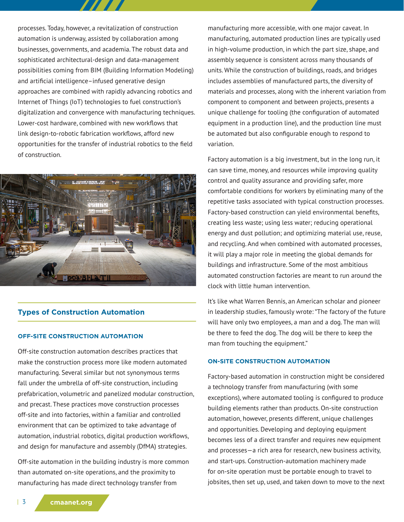processes. Today, however, a revitalization of construction automation is underway, assisted by collaboration among businesses, governments, and academia. The robust data and sophisticated architectural-design and data-management possibilities coming from BIM (Building Information Modeling) and artificial intelligence–infused generative design approaches are combined with rapidly advancing robotics and Internet of Things (IoT) technologies to fuel construction's digitalization and convergence with manufacturing techniques. Lower-cost hardware, combined with new workflows that link design-to-robotic fabrication workflows, afford new opportunities for the transfer of industrial robotics to the field of construction.



# **Types of Construction Automation**

## **OFF-SITE CONSTRUCTION AUTOMATION**

Off-site construction automation describes practices that make the construction process more like modern automated manufacturing. Several similar but not synonymous terms fall under the umbrella of off-site construction, including prefabrication, volumetric and panelized modular construction, and precast. These practices move construction processes off-site and into factories, within a familiar and controlled environment that can be optimized to take advantage of automation, industrial robotics, digital production workflows, and design for manufacture and assembly (DfMA) strategies.

Off-site automation in the building industry is more common than automated on-site operations, and the proximity to manufacturing has made direct technology transfer from

manufacturing more accessible, with one major caveat. In manufacturing, automated production lines are typically used in high-volume production, in which the part size, shape, and assembly sequence is consistent across many thousands of units. While the construction of buildings, roads, and bridges includes assemblies of manufactured parts, the diversity of materials and processes, along with the inherent variation from component to component and between projects, presents a unique challenge for tooling (the configuration of automated equipment in a production line), and the production line must be automated but also configurable enough to respond to variation.

Factory automation is a big investment, but in the long run, it can save time, money, and resources while improving quality control and quality assurance and providing safer, more comfortable conditions for workers by eliminating many of the repetitive tasks associated with typical construction processes. Factory-based construction can yield environmental benefits, creating less waste; using less water; reducing operational energy and dust pollution; and optimizing material use, reuse, and recycling. And when combined with automated processes, it will play a major role in meeting the global demands for buildings and infrastructure. Some of the most ambitious automated construction factories are meant to run around the clock with little human intervention.

It's like what Warren Bennis, an American scholar and pioneer in leadership studies, famously wrote: "The factory of the future will have only two employees, a man and a dog. The man will be there to feed the dog. The dog will be there to keep the man from touching the equipment."

## **ON-SITE CONSTRUCTION AUTOMATION**

Factory-based automation in construction might be considered a technology transfer from manufacturing (with some exceptions), where automated tooling is configured to produce building elements rather than products. On-site construction automation, however, presents different, unique challenges and opportunities. Developing and deploying equipment becomes less of a direct transfer and requires new equipment and processes—a rich area for research, new business activity, and start-ups. Construction-automation machinery made for on-site operation must be portable enough to travel to jobsites, then set up, used, and taken down to move to the next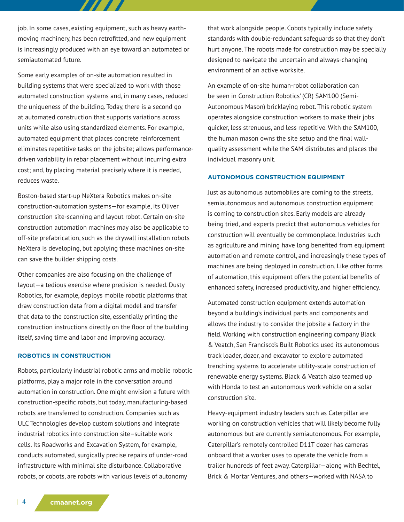job. In some cases, existing equipment, such as heavy earthmoving machinery, has been retrofitted, and new equipment is increasingly produced with an eye toward an automated or semiautomated future.

7 7 7 7 7

Some early examples of on-site automation resulted in building systems that were specialized to work with those automated construction systems and, in many cases, reduced the uniqueness of the building. Today, there is a second go at automated construction that supports variations across units while also using standardized elements. For example, automated equipment that places concrete reinforcement eliminates repetitive tasks on the jobsite; allows performancedriven variability in rebar placement without incurring extra cost; and, by placing material precisely where it is needed, reduces waste.

Boston-based start-up NeXtera Robotics makes on-site construction-automation systems—for example, its Oliver construction site-scanning and layout robot. Certain on-site construction automation machines may also be applicable to off-site prefabrication, such as the drywall installation robots NeXtera is developing, but applying these machines on-site can save the builder shipping costs.

Other companies are also focusing on the challenge of layout—a tedious exercise where precision is needed. Dusty Robotics, for example, deploys mobile robotic platforms that draw construction data from a digital model and transfer that data to the construction site, essentially printing the construction instructions directly on the floor of the building itself, saving time and labor and improving accuracy.

## **ROBOTICS IN CONSTRUCTION**

Robots, particularly industrial robotic arms and mobile robotic platforms, play a major role in the conversation around automation in construction. One might envision a future with construction-specific robots, but today, manufacturing-based robots are transferred to construction. Companies such as ULC Technologies develop custom solutions and integrate industrial robotics into construction site–suitable work cells. Its Roadworks and Excavation System, for example, conducts automated, surgically precise repairs of under-road infrastructure with minimal site disturbance. Collaborative robots, or cobots, are robots with various levels of autonomy

that work alongside people. Cobots typically include safety standards with double-redundant safeguards so that they don't hurt anyone. The robots made for construction may be specially designed to navigate the uncertain and always-changing environment of an active worksite.

An example of on-site human-robot collaboration can be seen in Construction Robotics' (CR) SAM100 (Semi-Autonomous Mason) bricklaying robot. This robotic system operates alongside construction workers to make their jobs quicker, less strenuous, and less repetitive. With the SAM100, the human mason owns the site setup and the final wallquality assessment while the SAM distributes and places the individual masonry unit.

## **AUTONOMOUS CONSTRUCTION EQUIPMENT**

Just as autonomous automobiles are coming to the streets, semiautonomous and autonomous construction equipment is coming to construction sites. Early models are already being tried, and experts predict that autonomous vehicles for construction will eventually be commonplace. Industries such as agriculture and mining have long benefited from equipment automation and remote control, and increasingly these types of machines are being deployed in construction. Like other forms of automation, this equipment offers the potential benefits of enhanced safety, increased productivity, and higher efficiency.

Automated construction equipment extends automation beyond a building's individual parts and components and allows the industry to consider the jobsite a factory in the field. Working with construction engineering company Black & Veatch, San Francisco's Built Robotics used its autonomous track loader, dozer, and excavator to explore automated trenching systems to accelerate utility-scale construction of renewable energy systems. Black & Veatch also teamed up with Honda to test an autonomous work vehicle on a solar construction site.

Heavy-equipment industry leaders such as Caterpillar are working on construction vehicles that will likely become fully autonomous but are currently semiautonomous. For example, Caterpillar's remotely controlled D11T dozer has cameras onboard that a worker uses to operate the vehicle from a trailer hundreds of feet away. Caterpillar—along with Bechtel, Brick & Mortar Ventures, and others—worked with NASA to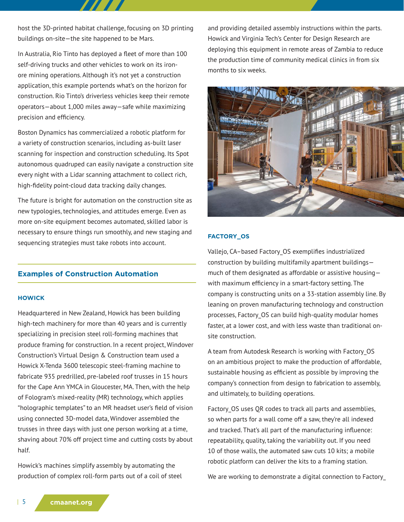host the 3D-printed habitat challenge, focusing on 3D printing buildings on-site—the site happened to be Mars.

In Australia, Rio Tinto has deployed a fleet of more than 100 self-driving trucks and other vehicles to work on its ironore mining operations. Although it's not yet a construction application, this example portends what's on the horizon for construction. Rio Tinto's driverless vehicles keep their remote operators—about 1,000 miles away—safe while maximizing precision and efficiency.

Boston Dynamics has commercialized a robotic platform for a variety of construction scenarios, including as-built laser scanning for inspection and construction scheduling. Its Spot autonomous quadruped can easily navigate a construction site every night with a Lidar scanning attachment to collect rich, high-fidelity point-cloud data tracking daily changes.

The future is bright for automation on the construction site as new typologies, technologies, and attitudes emerge. Even as more on-site equipment becomes automated, skilled labor is necessary to ensure things run smoothly, and new staging and sequencing strategies must take robots into account.

# **Examples of Construction Automation**

#### **HOWICK**

Headquartered in New Zealand, Howick has been building high-tech machinery for more than 40 years and is currently specializing in precision steel roll-forming machines that produce framing for construction. In a recent project, Windover Construction's Virtual Design & Construction team used a Howick X-Tenda 3600 telescopic steel-framing machine to fabricate 935 predrilled, pre-labeled roof trusses in 15 hours for the Cape Ann YMCA in Gloucester, MA. Then, with the help of Fologram's mixed-reality (MR) technology, which applies "holographic templates" to an MR headset user's field of vision using connected 3D-model data, Windover assembled the trusses in three days with just one person working at a time, shaving about 70% off project time and cutting costs by about half.

Howick's machines simplify assembly by automating the production of complex roll-form parts out of a coil of steel and providing detailed assembly instructions within the parts. Howick and Virginia Tech's Center for Design Research are deploying this equipment in remote areas of Zambia to reduce the production time of community medical clinics in from six months to six weeks.



## **FACTORY\_OS**

Vallejo, CA–based Factory\_OS exemplifies industrialized construction by building multifamily apartment buildings much of them designated as affordable or assistive housing with maximum efficiency in a smart-factory setting. The company is constructing units on a 33-station assembly line. By leaning on proven manufacturing technology and construction processes, Factory\_OS can build high-quality modular homes faster, at a lower cost, and with less waste than traditional onsite construction.

A team from Autodesk Research is working with Factory\_OS on an ambitious project to make the production of affordable, sustainable housing as efficient as possible by improving the company's connection from design to fabrication to assembly, and ultimately, to building operations.

Factory OS uses QR codes to track all parts and assemblies, so when parts for a wall come off a saw, they're all indexed and tracked. That's all part of the manufacturing influence: repeatability, quality, taking the variability out. If you need 10 of those walls, the automated saw cuts 10 kits; a mobile robotic platform can deliver the kits to a framing station.

We are working to demonstrate a digital connection to Factory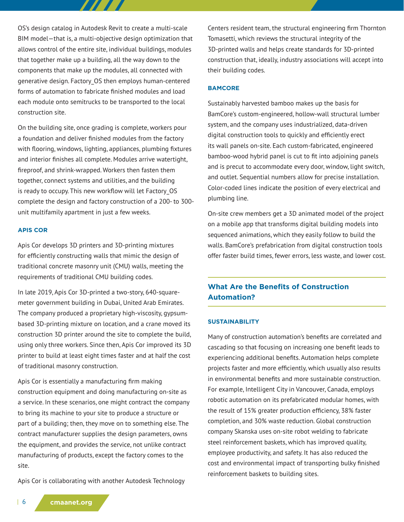OS's design catalog in Autodesk Revit to create a multi-scale BIM model—that is, a multi-objective design optimization that allows control of the entire site, individual buildings, modules that together make up a building, all the way down to the components that make up the modules, all connected with generative design. Factory\_OS then employs human-centered forms of automation to fabricate finished modules and load each module onto semitrucks to be transported to the local construction site.

TITET S

On the building site, once grading is complete, workers pour a foundation and deliver finished modules from the factory with flooring, windows, lighting, appliances, plumbing fixtures and interior finishes all complete. Modules arrive watertight, fireproof, and shrink-wrapped. Workers then fasten them together, connect systems and utilities, and the building is ready to occupy. This new workflow will let Factory\_OS complete the design and factory construction of a 200- to 300 unit multifamily apartment in just a few weeks.

## **APIS COR**

Apis Cor develops 3D printers and 3D-printing mixtures for efficiently constructing walls that mimic the design of traditional concrete masonry unit (CMU) walls, meeting the requirements of traditional CMU building codes.

In late 2019, Apis Cor 3D-printed a two-story, 640-squaremeter government building in Dubai, United Arab Emirates. The company produced a proprietary high-viscosity, gypsumbased 3D-printing mixture on location, and a crane moved its construction 3D printer around the site to complete the build, using only three workers. Since then, Apis Cor improved its 3D printer to build at least eight times faster and at half the cost of traditional masonry construction.

Apis Cor is essentially a manufacturing firm making construction equipment and doing manufacturing on-site as a service. In these scenarios, one might contract the company to bring its machine to your site to produce a structure or part of a building; then, they move on to something else. The contract manufacturer supplies the design parameters, owns the equipment, and provides the service, not unlike contract manufacturing of products, except the factory comes to the site.

Apis Cor is collaborating with another Autodesk Technology

Centers resident team, the structural engineering firm Thornton Tomasetti, which reviews the structural integrity of the 3D-printed walls and helps create standards for 3D-printed construction that, ideally, industry associations will accept into their building codes.

#### **BAMCORE**

Sustainably harvested bamboo makes up the basis for BamCore's custom-engineered, hollow-wall structural lumber system, and the company uses industrialized, data-driven digital construction tools to quickly and efficiently erect its wall panels on-site. Each custom-fabricated, engineered bamboo-wood hybrid panel is cut to fit into adjoining panels and is precut to accommodate every door, window, light switch, and outlet. Sequential numbers allow for precise installation. Color-coded lines indicate the position of every electrical and plumbing line.

On-site crew members get a 3D animated model of the project on a mobile app that transforms digital building models into sequenced animations, which they easily follow to build the walls. BamCore's prefabrication from digital construction tools offer faster build times, fewer errors, less waste, and lower cost.

# **What Are the Benefits of Construction Automation?**

#### **SUSTAINABILITY**

Many of construction automation's benefits are correlated and cascading so that focusing on increasing one benefit leads to experiencing additional benefits. Automation helps complete projects faster and more efficiently, which usually also results in environmental benefits and more sustainable construction. For example, Intelligent City in Vancouver, Canada, employs robotic automation on its prefabricated modular homes, with the result of 15% greater production efficiency, 38% faster completion, and 30% waste reduction. Global construction company Skanska uses on-site robot welding to fabricate steel reinforcement baskets, which has improved quality, employee productivity, and safety. It has also reduced the cost and environmental impact of transporting bulky finished reinforcement baskets to building sites.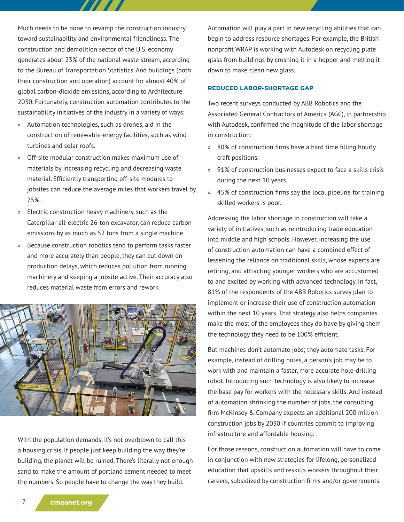Much needs to be done to revamp the construction industry toward sustainability and environmental friendliness. The construction and demolition sector of the U.S. economy generates about 23% of the national waste stream, according to the Bureau of Transportation Statistics. And buildings (both their construction and operation) account for almost 40% of global carbon-dioxide emissions, according to Architecture 2030. Fortunately, construction automation contributes to the sustainability initiatives of the industry in a variety of ways:

- » Automation technologies, such as drones, aid in the construction of renewable-energy facilities, such as wind turbines and solar roofs.
- » Off-site modular construction makes maximum use of materials by increasing recycling and decreasing waste material. Efficiently transporting off-site modules to jobsites can reduce the average miles that workers travel by 75%.
- » Electric construction heavy machinery, such as the Caterpillar all-electric 26-ton excavator, can reduce carbon emissions by as much as 52 tons from a single machine.
- » Because construction robotics tend to perform tasks faster and more accurately than people, they can cut down on production delays, which reduces pollution from running machinery and keeping a jobsite active. Their accuracy also reduces material waste from errors and rework.



With the population demands, it's not overblown to call this a housing crisis. If people just keep building the way they're building, the planet will be ruined. There's literally not enough sand to make the amount of portland cement needed to meet the numbers. So people have to change the way they build.

Automation will play a part in new recycling abilities that can begin to address resource shortages. For example, the British nonprofit WRAP is working with Autodesk on recycling plate glass from buildings by crushing it in a hopper and melting it down to make clean new glass.

#### **REDUCED LABOR-SHORTAGE GAP**

Two recent surveys conducted by ABB Robotics and the Associated General Contractors of America (AGC), in partnership with Autodesk, confirmed the magnitude of the labor shortage in construction:

- » 80% of construction firms have a hard time filling hourly craft positions.
- » 91% of construction businesses expect to face a skills crisis during the next 10 years.
- » 45% of construction firms say the local pipeline for training skilled workers is poor.

Addressing the labor shortage in construction will take a variety of initiatives, such as reintroducing trade education into middle and high schools. However, increasing the use of construction automation can have a combined effect of lessening the reliance on traditional skills, whose experts are retiring, and attracting younger workers who are accustomed to and excited by working with advanced technology. In fact, 81% of the respondents of the ABB Robotics survey plan to implement or increase their use of construction automation within the next 10 years. That strategy also helps companies make the most of the employees they do have by giving them the technology they need to be 100% efficient.

But machines don't automate jobs; they automate tasks. For example, instead of drilling holes, a person's job may be to work with and maintain a faster, more accurate hole-drilling robot. Introducing such technology is also likely to increase the base pay for workers with the necessary skills. And instead of automation shrinking the number of jobs, the consulting firm McKinsey & Company expects an additional 200 million construction jobs by 2030 if countries commit to improving infrastructure and affordable housing.

For those reasons, construction automation will have to come in conjunction with new strategies for lifelong, personalized education that upskills and reskills workers throughout their careers, subsidized by construction firms and/or governments.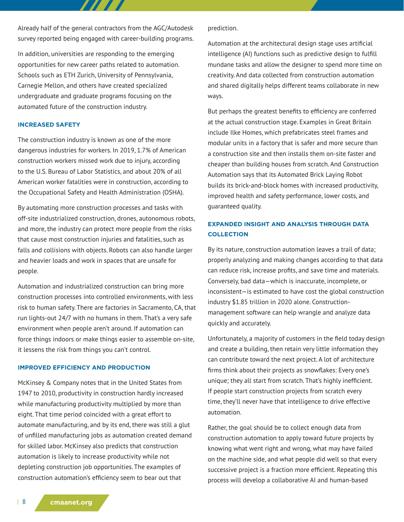Already half of the general contractors from the AGC/Autodesk survey reported being engaged with career-building programs.

7777

In addition, universities are responding to the emerging opportunities for new career paths related to automation. Schools such as ETH Zurich, University of Pennsylvania, Carnegie Mellon, and others have created specialized undergraduate and graduate programs focusing on the automated future of the construction industry.

## **INCREASED SAFETY**

The construction industry is known as one of the more dangerous industries for workers. In 2019, 1.7% of American construction workers missed work due to injury, according to the U.S. Bureau of Labor Statistics, and about 20% of all American worker fatalities were in construction, according to the Occupational Safety and Health Administration (OSHA).

By automating more construction processes and tasks with off-site industrialized construction, drones, autonomous robots, and more, the industry can protect more people from the risks that cause most construction injuries and fatalities, such as falls and collisions with objects. Robots can also handle larger and heavier loads and work in spaces that are unsafe for people.

Automation and industrialized construction can bring more construction processes into controlled environments, with less risk to human safety. There are factories in Sacramento, CA, that run lights-out 24/7 with no humans in them. That's a very safe environment when people aren't around. If automation can force things indoors or make things easier to assemble on-site, it lessens the risk from things you can't control.

#### **IMPROVED EFFICIENCY AND PRODUCTION**

McKinsey & Company notes that in the United States from 1947 to 2010, productivity in construction hardly increased while manufacturing productivity multiplied by more than eight. That time period coincided with a great effort to automate manufacturing, and by its end, there was still a glut of unfilled manufacturing jobs as automation created demand for skilled labor. McKinsey also predicts that construction automation is likely to increase productivity while not depleting construction job opportunities. The examples of construction automation's efficiency seem to bear out that

prediction.

Automation at the architectural design stage uses artificial intelligence (AI) functions such as predictive design to fulfill mundane tasks and allow the designer to spend more time on creativity. And data collected from construction automation and shared digitally helps different teams collaborate in new ways.

But perhaps the greatest benefits to efficiency are conferred at the actual construction stage. Examples in Great Britain include Ilke Homes, which prefabricates steel frames and modular units in a factory that is safer and more secure than a construction site and then installs them on-site faster and cheaper than building houses from scratch. And Construction Automation says that its Automated Brick Laying Robot builds its brick-and-block homes with increased productivity, improved health and safety performance, lower costs, and guaranteed quality.

# **EXPANDED INSIGHT AND ANALYSIS THROUGH DATA COLLECTION**

By its nature, construction automation leaves a trail of data; properly analyzing and making changes according to that data can reduce risk, increase profits, and save time and materials. Conversely, bad data—which is inaccurate, incomplete, or inconsistent—is estimated to have cost the global construction industry \$1.85 trillion in 2020 alone. Constructionmanagement software can help wrangle and analyze data quickly and accurately.

Unfortunately, a majority of customers in the field today design and create a building, then retain very little information they can contribute toward the next project. A lot of architecture firms think about their projects as snowflakes: Every one's unique; they all start from scratch. That's highly inefficient. If people start construction projects from scratch every time, they'll never have that intelligence to drive effective automation.

Rather, the goal should be to collect enough data from construction automation to apply toward future projects by knowing what went right and wrong, what may have failed on the machine side, and what people did well so that every successive project is a fraction more efficient. Repeating this process will develop a collaborative AI and human-based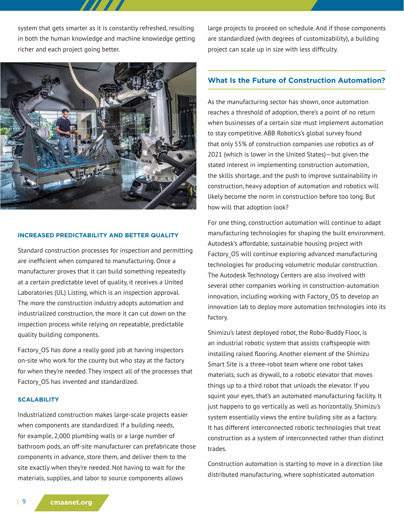system that gets smarter as it is constantly refreshed, resulting in both the human knowledge and machine knowledge getting richer and each project going better.



#### **INCREASED PREDICTABILITY AND BETTER QUALITY**

Standard construction processes for inspection and permitting are inefficient when compared to manufacturing. Once a manufacturer proves that it can build something repeatedly at a certain predictable level of quality, it receives a United Laboratories (UL) Listing, which is an inspection approval. The more the construction industry adopts automation and industrialized construction, the more it can cut down on the inspection process while relying on repeatable, predictable quality building components.

Factory OS has done a really good job at having inspectors on-site who work for the county but who stay at the factory for when they're needed. They inspect all of the processes that Factory\_OS has invented and standardized.

#### **SCALABILITY**

Industrialized construction makes large-scale projects easier when components are standardized. If a building needs, for example, 2,000 plumbing walls or a large number of bathroom pods, an off-site manufacturer can prefabricate those components in advance, store them, and deliver them to the site exactly when they're needed. Not having to wait for the materials, supplies, and labor to source components allows

large projects to proceed on schedule. And if those components are standardized (with degrees of customizability), a building project can scale up in size with less difficulty.

## **What Is the Future of Construction Automation?**

As the manufacturing sector has shown, once automation reaches a threshold of adoption, there's a point of no return when businesses of a certain size must implement automation to stay competitive. ABB Robotics's global survey found that only 55% of construction companies use robotics as of 2021 (which is lower in the United States)—but given the stated interest in implementing construction automation, the skills shortage, and the push to improve sustainability in construction, heavy adoption of automation and robotics will likely become the norm in construction before too long. But how will that adoption look?

For one thing, construction automation will continue to adapt manufacturing technologies for shaping the built environment. Autodesk's affordable, sustainable housing project with Factory OS will continue exploring advanced manufacturing technologies for producing volumetric modular construction. The Autodesk Technology Centers are also involved with several other companies working in construction-automation innovation, including working with Factory OS to develop an innovation lab to deploy more automation technologies into its factory.

Shimizu's latest deployed robot, the Robo-Buddy Floor, is an industrial robotic system that assists craftspeople with installing raised flooring. Another element of the Shimizu Smart Site is a three-robot team where one robot takes materials, such as drywall, to a robotic elevator that moves things up to a third robot that unloads the elevator. If you squint your eyes, that's an automated manufacturing facility. It just happens to go vertically as well as horizontally. Shimizu's system essentially views the entire building site as a factory. It has different interconnected robotic technologies that treat construction as a system of interconnected rather than distinct trades.

Construction automation is starting to move in a direction like distributed manufacturing, where sophisticated automation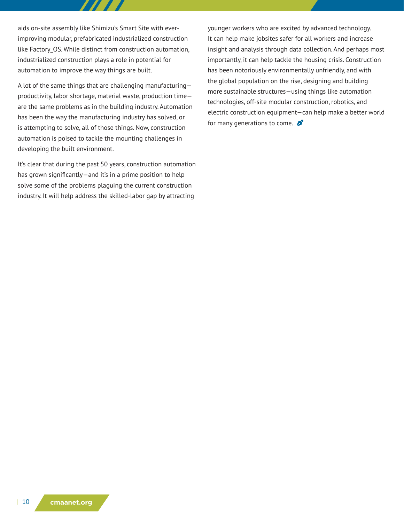aids on-site assembly like Shimizu's Smart Site with everimproving modular, prefabricated industrialized construction like Factory OS. While distinct from construction automation, industrialized construction plays a role in potential for automation to improve the way things are built.

A lot of the same things that are challenging manufacturing productivity, labor shortage, material waste, production time are the same problems as in the building industry. Automation has been the way the manufacturing industry has solved, or is attempting to solve, all of those things. Now, construction automation is poised to tackle the mounting challenges in developing the built environment.

It's clear that during the past 50 years, construction automation has grown significantly—and it's in a prime position to help solve some of the problems plaguing the current construction industry. It will help address the skilled-labor gap by attracting

younger workers who are excited by advanced technology. It can help make jobsites safer for all workers and increase insight and analysis through data collection. And perhaps most importantly, it can help tackle the housing crisis. Construction has been notoriously environmentally unfriendly, and with the global population on the rise, designing and building more sustainable structures—using things like automation technologies, off-site modular construction, robotics, and electric construction equipment—can help make a better world for many generations to come.  $\beta$